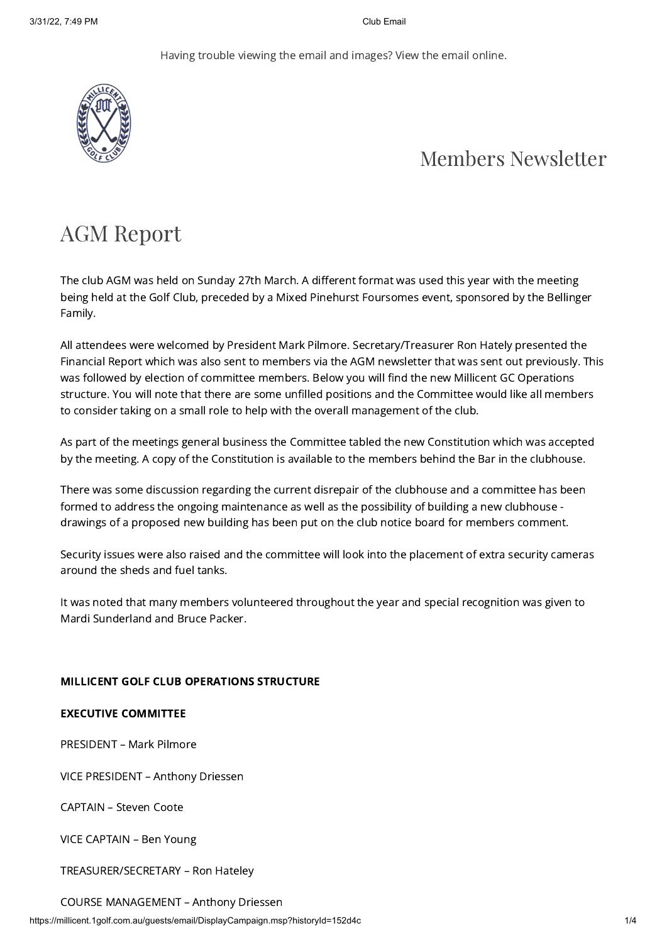Having trouble viewing the email and [images?](https://millicent.1golf.com.au/guests/email/DisplayCampaign.msp?historyId=152d4c) View the email online.



### Members Newsletter

# AGM Report

The club AGM was held on Sunday 27th March. A different format was used this year with the meeting being held at the Golf Club, preceded by a Mixed Pinehurst Foursomes event, sponsored by the Bellinger Family.

All attendees were welcomed by President Mark Pilmore. Secretary/Treasurer Ron Hately presented the Financial Report which was also sent to members via the AGM newsletter that was sent out previously. This was followed by election of committee members. Below you will find the new Millicent GC Operations structure. You will note that there are some unfilled positions and the Committee would like all members to consider taking on a small role to help with the overall management of the club.

As part of the meetings general business the Committee tabled the new Constitution which was accepted by the meeting. A copy of the Constitution is available to the members behind the Bar in the clubhouse.

There was some discussion regarding the current disrepair of the clubhouse and a committee has been formed to address the ongoing maintenance as well as the possibility of building a new clubhouse drawings of a proposed new building has been put on the club notice board for members comment.

Security issues were also raised and the committee will look into the placement of extra security cameras around the sheds and fuel tanks.

It was noted that many members volunteered throughout the year and special recognition was given to Mardi Sunderland and Bruce Packer.

#### MILLICENT GOLF CLUB OPERATIONS STRUCTURE

#### EXECUTIVE COMMITTEE

PRESIDENT – Mark Pilmore

VICE PRESIDENT – Anthony Driessen

CAPTAIN – Steven Coote

VICE CAPTAIN – Ben Young

TREASURER/SECRETARY – Ron Hateley

#### COURSE MANAGEMENT – Anthony Driessen

https://millicent.1golf.com.au/guests/email/DisplayCampaign.msp?historyId=152d4c 1/4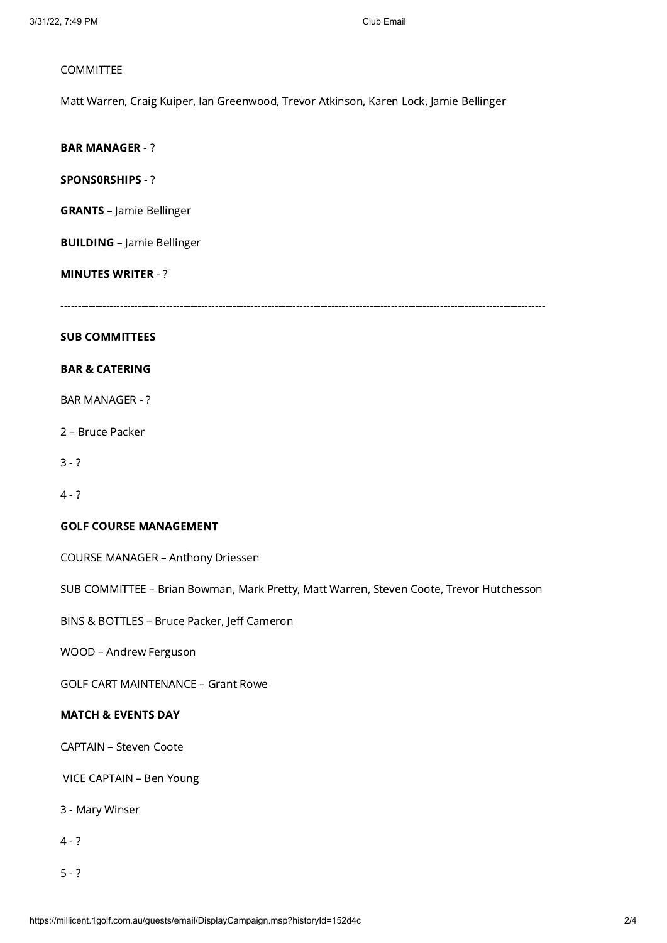#### COMMITTEE

Matt Warren, Craig Kuiper, Ian Greenwood, Trevor Atkinson, Karen Lock, Jamie Bellinger

BAR MANAGER - ?

SPONS0RSHIPS - ?

GRANTS – Jamie Bellinger

BUILDING – Jamie Bellinger

#### MINUTES WRITER - ?

------------------------------------------------------------------------------------------------------------------------------------------

#### SUB COMMITTEES

#### BAR & CATERING

BAR MANAGER - ?

2 – Bruce Packer

 $3 - ?$ 

4 - ?

#### GOLF COURSE MANAGEMENT

COURSE MANAGER – Anthony Driessen

SUB COMMITTEE – Brian Bowman, Mark Pretty, Matt Warren, Steven Coote, Trevor Hutchesson

BINS & BOTTLES – Bruce Packer, Jeff Cameron

WOOD – Andrew Ferguson

GOLF CART MAINTENANCE – Grant Rowe

#### MATCH & EVENTS DAY

CAPTAIN – Steven Coote

VICE CAPTAIN – Ben Young

3 - Mary Winser

 $4 - ?$ 

5 - ?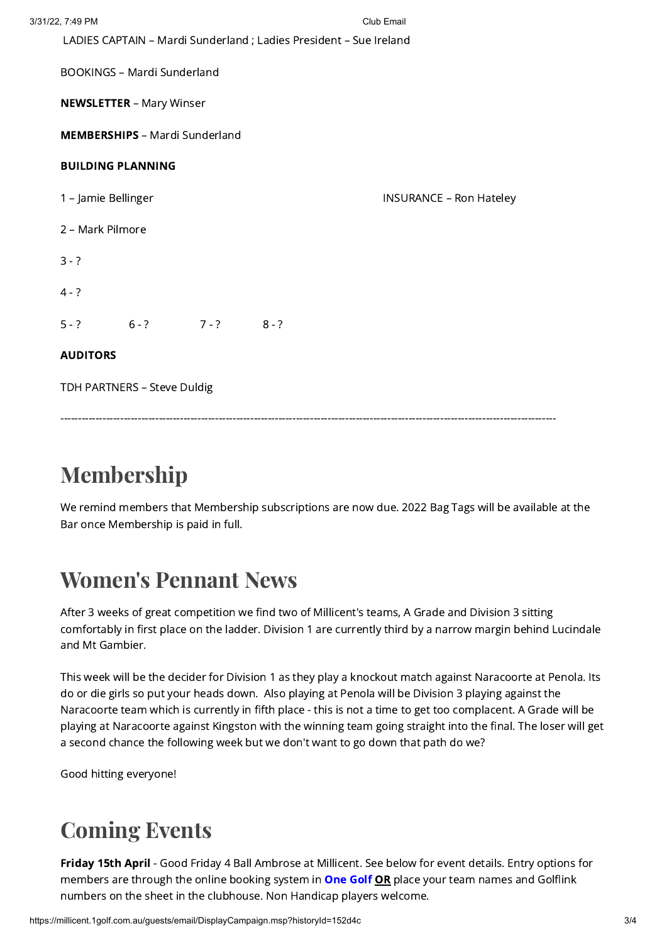| 3/31/22, 7:49 PM                                                   |                                    |  |                                | Club Email |
|--------------------------------------------------------------------|------------------------------------|--|--------------------------------|------------|
| LADIES CAPTAIN - Mardi Sunderland ; Ladies President - Sue Ireland |                                    |  |                                |            |
|                                                                    | <b>BOOKINGS - Mardi Sunderland</b> |  |                                |            |
| <b>NEWSLETTER - Mary Winser</b>                                    |                                    |  |                                |            |
| <b>MEMBERSHIPS - Mardi Sunderland</b>                              |                                    |  |                                |            |
| <b>BUILDING PLANNING</b>                                           |                                    |  |                                |            |
| 1 - Jamie Bellinger                                                |                                    |  | <b>INSURANCE - Ron Hateley</b> |            |
| 2 - Mark Pilmore                                                   |                                    |  |                                |            |
| $3 - ?$                                                            |                                    |  |                                |            |
| $4 - ?$                                                            |                                    |  |                                |            |
|                                                                    | $5-?$ $6-?$ $7-?$ $8-?$            |  |                                |            |
| <b>AUDITORS</b>                                                    |                                    |  |                                |            |
| TDH PARTNERS - Steve Duldig                                        |                                    |  |                                |            |
|                                                                    |                                    |  |                                |            |

# Membership

We remind members that Membership subscriptions are now due. 2022 Bag Tags will be available at the Bar once Membership is paid in full.

# Women's Pennant News

After 3 weeks of great competition we find two of Millicent's teams, A Grade and Division 3 sitting comfortably in first place on the ladder. Division 1 are currently third by a narrow margin behind Lucindale and Mt Gambier.

This week will be the decider for Division 1 as they play a knockout match against Naracoorte at Penola. Its do or die girls so put your heads down. Also playing at Penola will be Division 3 playing against the Naracoorte team which is currently in fifth place - this is not a time to get too complacent. A Grade will be playing at Naracoorte against Kingston with the winning team going straight into the final. The loser will get a second chance the following week but we don't want to go down that path do we?

Good hitting everyone!

# Coming Events

Friday 15th April - Good Friday 4 Ball Ambrose at Millicent. See below for event details. Entry options for members are through the online booking system in **[One](https://millicent.1golf.com.au/security/login.msp) Golf OR** place your team names and Golflink numbers on the sheet in the clubhouse. Non Handicap players welcome.